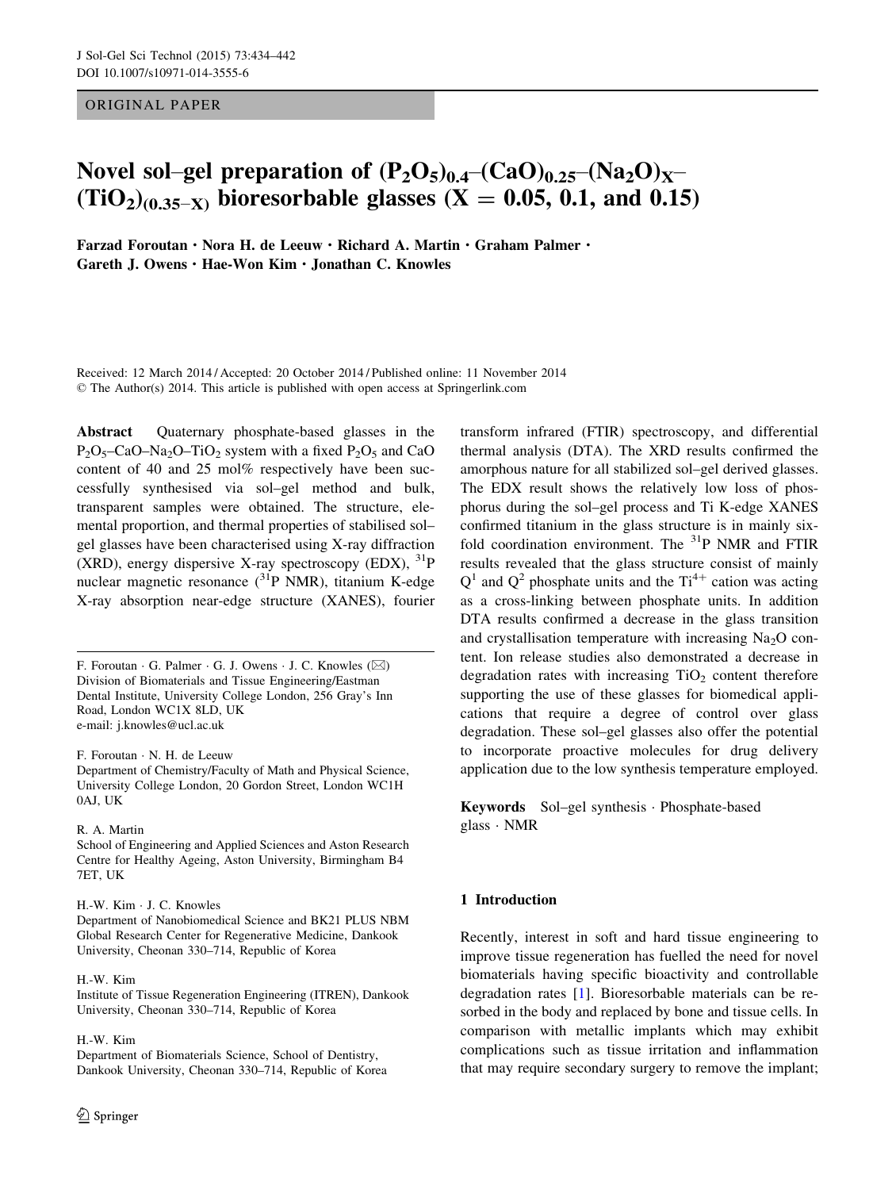## ORIGINAL PAPER

# Novel sol–gel preparation of  $(P_2O_5)_{0.4}$ – $(CaO)_{0.25}$ – $(Na_2O)_{X}$ –  $(TiO<sub>2</sub>)<sub>(0.35-X)</sub>$  bioresorbable glasses (X = 0.05, 0.1, and 0.15)

Farzad Foroutan · Nora H. de Leeuw · Richard A. Martin · Graham Palmer · Gareth J. Owens · Hae-Won Kim · Jonathan C. Knowles

Received: 12 March 2014 / Accepted: 20 October 2014 / Published online: 11 November 2014 © The Author(s) 2014. This article is published with open access at Springerlink.com

Abstract Ouaternary phosphate-based glasses in the  $P_2O_5$ –CaO–Na<sub>2</sub>O–TiO<sub>2</sub> system with a fixed  $P_2O_5$  and CaO content of 40 and 25 mol% respectively have been successfully synthesised via sol–gel method and bulk, transparent samples were obtained. The structure, elemental proportion, and thermal properties of stabilised sol– gel glasses have been characterised using X-ray diffraction (XRD), energy dispersive X-ray spectroscopy (EDX),  $^{31}P$ nuclear magnetic resonance  $(^{31}P$  NMR), titanium K-edge X-ray absorption near-edge structure (XANES), fourier

F. Foroutan · G. Palmer · G. J. Owens · J. C. Knowles ( $\boxtimes$ ) Division of Biomaterials and Tissue Engineering/Eastman Dental Institute, University College London, 256 Gray's Inn Road, London WC1X 8LD, UK e-mail: j.knowles@ucl.ac.uk

F. Foroutan · N. H. de Leeuw

Department of Chemistry/Faculty of Math and Physical Science, University College London, 20 Gordon Street, London WC1H 0AJ, UK

#### R. A. Martin

School of Engineering and Applied Sciences and Aston Research Centre for Healthy Ageing, Aston University, Birmingham B4 7ET, UK

#### H.-W. Kim · J. C. Knowles

Department of Nanobiomedical Science and BK21 PLUS NBM Global Research Center for Regenerative Medicine, Dankook University, Cheonan 330–714, Republic of Korea

#### H.-W. Kim

Institute of Tissue Regeneration Engineering (ITREN), Dankook University, Cheonan 330–714, Republic of Korea

H.-W. Kim

Department of Biomaterials Science, School of Dentistry, Dankook University, Cheonan 330–714, Republic of Korea

transform infrared (FTIR) spectroscopy, and differential thermal analysis (DTA). The XRD results confirmed the amorphous nature for all stabilized sol–gel derived glasses. The EDX result shows the relatively low loss of phosphorus during the sol–gel process and Ti K-edge XANES confirmed titanium in the glass structure is in mainly sixfold coordination environment. The  $31P$  NMR and FTIR results revealed that the glass structure consist of mainly  $Q<sup>1</sup>$  and  $Q<sup>2</sup>$  phosphate units and the Ti<sup>4+</sup> cation was acting as a cross-linking between phosphate units. In addition DTA results confirmed a decrease in the glass transition and crystallisation temperature with increasing  $Na<sub>2</sub>O$  content. Ion release studies also demonstrated a decrease in degradation rates with increasing  $TiO<sub>2</sub>$  content therefore supporting the use of these glasses for biomedical applications that require a degree of control over glass degradation. These sol–gel glasses also offer the potential to incorporate proactive molecules for drug delivery application due to the low synthesis temperature employed.

Keywords Sol–gel synthesis · Phosphate-based glass · NMR

#### 1 Introduction

Recently, interest in soft and hard tissue engineering to improve tissue regeneration has fuelled the need for novel biomaterials having specific bioactivity and controllable degradation rates [\[1](#page-7-0)]. Bioresorbable materials can be resorbed in the body and replaced by bone and tissue cells. In comparison with metallic implants which may exhibit complications such as tissue irritation and inflammation that may require secondary surgery to remove the implant;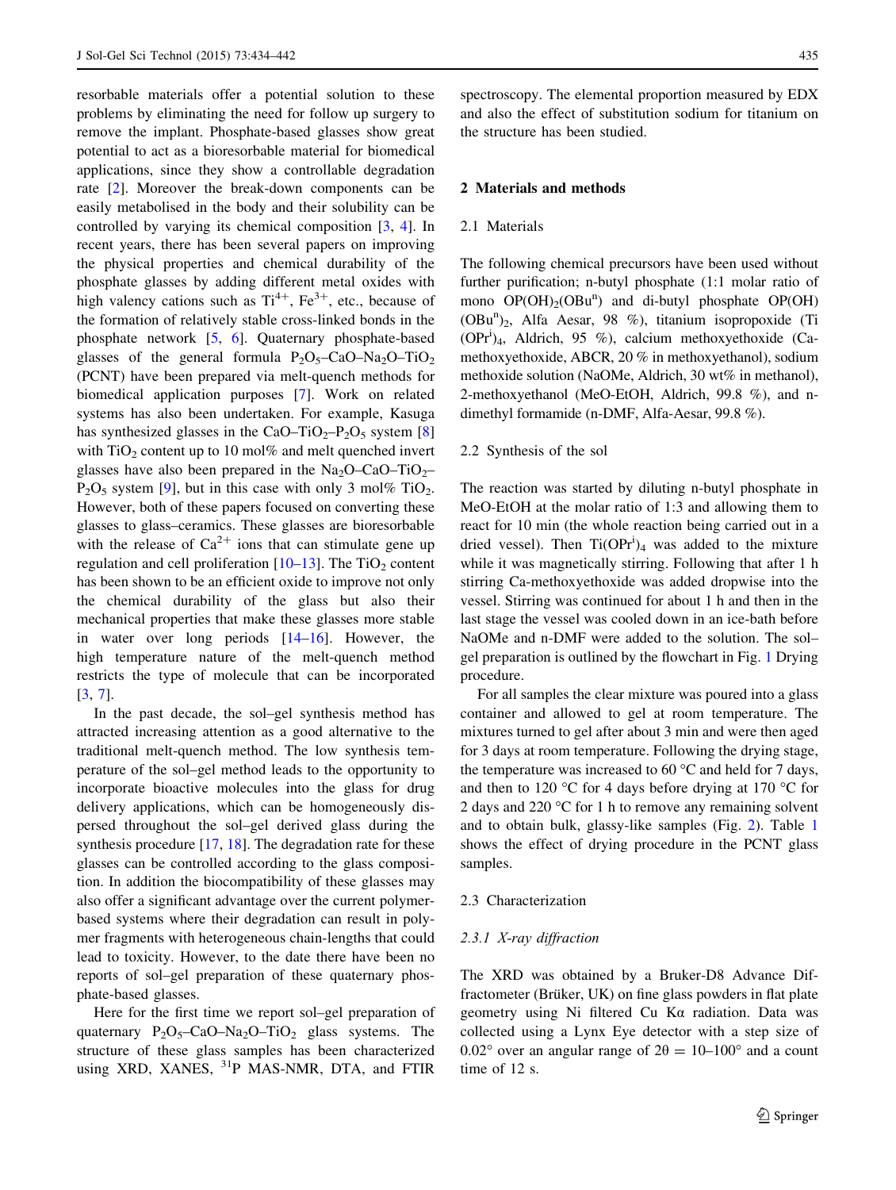resorbable materials offer a potential solution to these problems by eliminating the need for follow up surgery to remove the implant. Phosphate-based glasses show great potential to act as a bioresorbable material for biomedical applications, since they show a controllable degradation rate [[2\]](#page-7-0). Moreover the break-down components can be easily metabolised in the body and their solubility can be controlled by varying its chemical composition [[3,](#page-7-0) [4](#page-7-0)]. In recent years, there has been several papers on improving the physical properties and chemical durability of the phosphate glasses by adding different metal oxides with high valency cations such as  $Ti^{4+}$ ,  $Fe^{3+}$ , etc., because of the formation of relatively stable cross-linked bonds in the phosphate network [\[5](#page-7-0), [6](#page-7-0)]. Quaternary phosphate-based glasses of the general formula  $P_2O_5-CaO-Na_2O-TiO_2$ (PCNT) have been prepared via melt-quench methods for biomedical application purposes [[7\]](#page-7-0). Work on related systems has also been undertaken. For example, Kasuga has synthesized glasses in the CaO–TiO<sub>2</sub>–P<sub>2</sub>O<sub>5</sub> system [[8\]](#page-7-0) with  $TiO<sub>2</sub>$  content up to 10 mol% and melt quenched invert glasses have also been prepared in the  $Na<sub>2</sub>O–CaO–TiO<sub>2</sub>–$  $P_2O_5$  system [[9](#page-7-0)], but in this case with only 3 mol% TiO<sub>2</sub>. However, both of these papers focused on converting these glasses to glass–ceramics. These glasses are bioresorbable with the release of  $Ca^{2+}$  ions that can stimulate gene up regulation and cell proliferation  $[10-13]$ . The TiO<sub>2</sub> content has been shown to be an efficient oxide to improve not only the chemical durability of the glass but also their mechanical properties that make these glasses more stable in water over long periods [[14–16](#page-7-0)]. However, the high temperature nature of the melt-quench method restricts the type of molecule that can be incorporated [\[3](#page-7-0), [7](#page-7-0)].

In the past decade, the sol–gel synthesis method has attracted increasing attention as a good alternative to the traditional melt-quench method. The low synthesis temperature of the sol–gel method leads to the opportunity to incorporate bioactive molecules into the glass for drug delivery applications, which can be homogeneously dispersed throughout the sol–gel derived glass during the synthesis procedure  $[17, 18]$  $[17, 18]$  $[17, 18]$  $[17, 18]$ . The degradation rate for these glasses can be controlled according to the glass composition. In addition the biocompatibility of these glasses may also offer a significant advantage over the current polymerbased systems where their degradation can result in polymer fragments with heterogeneous chain-lengths that could lead to toxicity. However, to the date there have been no reports of sol–gel preparation of these quaternary phosphate-based glasses.

Here for the first time we report sol–gel preparation of quaternary  $P_2O_5$ -CaO-Na<sub>2</sub>O-TiO<sub>2</sub> glass systems. The structure of these glass samples has been characterized using XRD, XANES, <sup>31</sup>P MAS-NMR, DTA, and FTIR spectroscopy. The elemental proportion measured by EDX and also the effect of substitution sodium for titanium on the structure has been studied.

## 2 Materials and methods

#### 2.1 Materials

The following chemical precursors have been used without further purification; n-butyl phosphate (1:1 molar ratio of mono OP(OH)<sub>2</sub>(OBu<sup>n</sup>) and di-butyl phosphate OP(OH) (OBu<sup>n</sup>)<sub>2</sub>, Alfa Aesar, 98 %), titanium isopropoxide (Ti (OPri )4, Aldrich, 95 %), calcium methoxyethoxide (Camethoxyethoxide, ABCR, 20 % in methoxyethanol), sodium methoxide solution (NaOMe, Aldrich, 30 wt% in methanol), 2-methoxyethanol (MeO-EtOH, Aldrich, 99.8 %), and ndimethyl formamide (n-DMF, Alfa-Aesar, 99.8 %).

#### 2.2 Synthesis of the sol

The reaction was started by diluting n-butyl phosphate in MeO-EtOH at the molar ratio of 1:3 and allowing them to react for 10 min (the whole reaction being carried out in a dried vessel). Then  $Ti(OPr<sup>i</sup>)<sub>4</sub>$  was added to the mixture while it was magnetically stirring. Following that after 1 h stirring Ca-methoxyethoxide was added dropwise into the vessel. Stirring was continued for about 1 h and then in the last stage the vessel was cooled down in an ice-bath before NaOMe and n-DMF were added to the solution. The solgel preparation is outlined by the flowchart in Fig. [1](#page-2-0) Drying procedure.

For all samples the clear mixture was poured into a glass container and allowed to gel at room temperature. The mixtures turned to gel after about 3 min and were then aged for 3 days at room temperature. Following the drying stage, the temperature was increased to 60  $\degree$ C and held for 7 days, and then to 120  $\degree$ C for 4 days before drying at 170  $\degree$ C for 2 days and 220 °C for 1 h to remove any remaining solvent and to obtain bulk, glassy-like samples (Fig. [2](#page-2-0)). Table [1](#page-3-0) shows the effect of drying procedure in the PCNT glass samples.

## 2.3 Characterization

#### 2.3.1 X-ray diffraction

The XRD was obtained by a Bruker-D8 Advance Diffractometer (Brüker, UK) on fine glass powders in flat plate geometry using Ni filtered Cu Kα radiation. Data was collected using a Lynx Eye detector with a step size of 0.02° over an angular range of  $2\theta = 10-100$ ° and a count time of 12 s.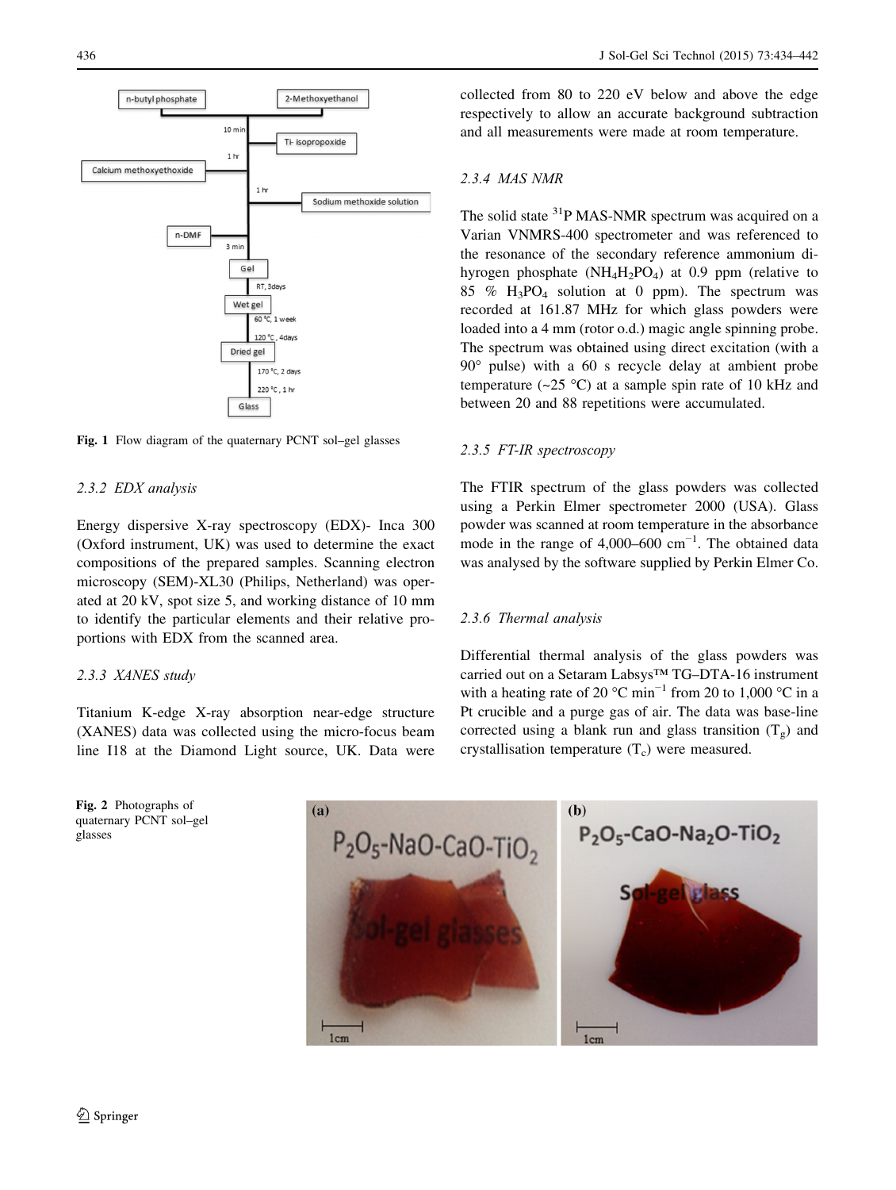<span id="page-2-0"></span>

Fig. 1 Flow diagram of the quaternary PCNT sol–gel glasses

# 2.3.2 EDX analysis

Energy dispersive X-ray spectroscopy (EDX)- Inca 300 (Oxford instrument, UK) was used to determine the exact compositions of the prepared samples. Scanning electron microscopy (SEM)-XL30 (Philips, Netherland) was operated at 20 kV, spot size 5, and working distance of 10 mm to identify the particular elements and their relative proportions with EDX from the scanned area.

# 2.3.3 XANES study

Titanium K-edge X-ray absorption near-edge structure (XANES) data was collected using the micro-focus beam line I18 at the Diamond Light source, UK. Data were



collected from 80 to 220 eV below and above the edge respectively to allow an accurate background subtraction and all measurements were made at room temperature.

# 2.3.4 MAS NMR

The solid state <sup>31</sup>P MAS-NMR spectrum was acquired on a Varian VNMRS-400 spectrometer and was referenced to the resonance of the secondary reference ammonium dihyrogen phosphate  $(NH_4H_2PO_4)$  at 0.9 ppm (relative to 85 %  $H_3PO_4$  solution at 0 ppm). The spectrum was recorded at 161.87 MHz for which glass powders were loaded into a 4 mm (rotor o.d.) magic angle spinning probe. The spectrum was obtained using direct excitation (with a 90° pulse) with a 60 s recycle delay at ambient probe temperature ( $\sim$ 25 °C) at a sample spin rate of 10 kHz and between 20 and 88 repetitions were accumulated.

# 2.3.5 FT-IR spectroscopy

The FTIR spectrum of the glass powders was collected using a Perkin Elmer spectrometer 2000 (USA). Glass powder was scanned at room temperature in the absorbance mode in the range of 4,000–600  $cm^{-1}$ . The obtained data was analysed by the software supplied by Perkin Elmer Co.

### 2.3.6 Thermal analysis

Differential thermal analysis of the glass powders was carried out on a Setaram Labsys™ TG–DTA-16 instrument with a heating rate of 20 °C min<sup>-1</sup> from 20 to 1,000 °C in a Pt crucible and a purge gas of air. The data was base-line corrected using a blank run and glass transition  $(T_g)$  and crystallisation temperature  $(T_c)$  were measured.

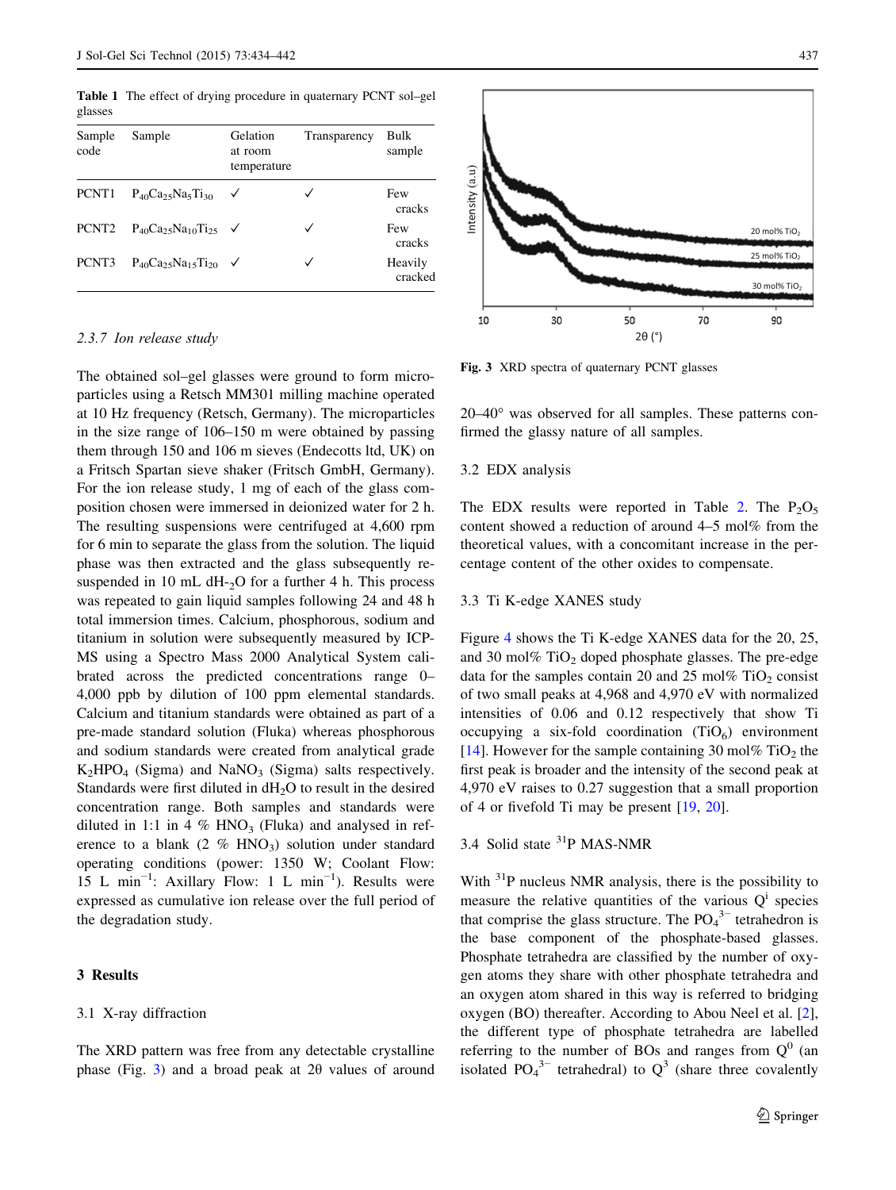<span id="page-3-0"></span>Table 1 The effect of drying procedure in quaternary PCNT sol–gel glasses

| Sample<br>code    | Sample                                     | Gelation<br>at room<br>temperature | Transparency | Bulk<br>sample     |
|-------------------|--------------------------------------------|------------------------------------|--------------|--------------------|
| PCNT <sub>1</sub> | $P_{40}Ca_{25}Na_{5}Ti_{30}$               | ✓                                  |              | Few<br>cracks      |
| PCNT <sub>2</sub> | $P_{40}Ca_{25}Na_{10}Ti_{25}$ $\checkmark$ |                                    | ✓            | Few<br>cracks      |
| PCNT3             | $P_{40}Ca_{25}Na_{15}Ti_{20}$ $\checkmark$ |                                    |              | Heavily<br>cracked |

## 2.3.7 Ion release study

The obtained sol–gel glasses were ground to form microparticles using a Retsch MM301 milling machine operated at 10 Hz frequency (Retsch, Germany). The microparticles in the size range of 106–150 m were obtained by passing them through 150 and 106 m sieves (Endecotts ltd, UK) on a Fritsch Spartan sieve shaker (Fritsch GmbH, Germany). For the ion release study, 1 mg of each of the glass composition chosen were immersed in deionized water for 2 h. The resulting suspensions were centrifuged at 4,600 rpm for 6 min to separate the glass from the solution. The liquid phase was then extracted and the glass subsequently resuspended in 10 mL dH- $_2$ O for a further 4 h. This process was repeated to gain liquid samples following 24 and 48 h total immersion times. Calcium, phosphorous, sodium and titanium in solution were subsequently measured by ICP-MS using a Spectro Mass 2000 Analytical System calibrated across the predicted concentrations range 0– 4,000 ppb by dilution of 100 ppm elemental standards. Calcium and titanium standards were obtained as part of a pre-made standard solution (Fluka) whereas phosphorous and sodium standards were created from analytical grade  $K<sub>2</sub>HPO<sub>4</sub>$  (Sigma) and NaNO<sub>3</sub> (Sigma) salts respectively. Standards were first diluted in  $dH_2O$  to result in the desired concentration range. Both samples and standards were diluted in 1:1 in 4 %  $HNO<sub>3</sub>$  (Fluka) and analysed in reference to a blank (2  $\%$  HNO<sub>3</sub>) solution under standard operating conditions (power: 1350 W; Coolant Flow: 15 L min−<sup>1</sup> : Axillary Flow: 1 L min−<sup>1</sup> ). Results were expressed as cumulative ion release over the full period of the degradation study.

# 3 Results

#### 3.1 X-ray diffraction

The XRD pattern was free from any detectable crystalline phase (Fig. 3) and a broad peak at 2θ values of around



Fig. 3 XRD spectra of quaternary PCNT glasses

20–40° was observed for all samples. These patterns confirmed the glassy nature of all samples.

#### 3.2 EDX analysis

The EDX results were reported in Table [2](#page-4-0). The  $P_2O_5$ content showed a reduction of around 4–5 mol% from the theoretical values, with a concomitant increase in the percentage content of the other oxides to compensate.

#### 3.3 Ti K-edge XANES study

Figure [4](#page-4-0) shows the Ti K-edge XANES data for the 20, 25, and 30 mol%  $TiO<sub>2</sub>$  doped phosphate glasses. The pre-edge data for the samples contain 20 and 25 mol%  $TiO<sub>2</sub>$  consist of two small peaks at 4,968 and 4,970 eV with normalized intensities of 0.06 and 0.12 respectively that show Ti occupying a six-fold coordination  $(TiO<sub>6</sub>)$  environment [\[14](#page-7-0)]. However for the sample containing 30 mol%  $TiO<sub>2</sub>$  the first peak is broader and the intensity of the second peak at 4,970 eV raises to 0.27 suggestion that a small proportion of 4 or fivefold Ti may be present [\[19](#page-7-0), [20](#page-7-0)].

# 3.4 Solid state 31P MAS-NMR

With  $31P$  nucleus NMR analysis, there is the possibility to measure the relative quantities of the various  $Q<sup>T</sup>$  species that comprise the glass structure. The  $PO_4^3$ <sup>-</sup> tetrahedron is the base component of the phosphate-based glasses. Phosphate tetrahedra are classified by the number of oxygen atoms they share with other phosphate tetrahedra and an oxygen atom shared in this way is referred to bridging oxygen (BO) thereafter. According to Abou Neel et al. [\[2](#page-7-0)], the different type of phosphate tetrahedra are labelled referring to the number of BOs and ranges from  $Q^0$  (an isolated  $PO_4^{3-}$  tetrahedral) to  $Q^3$  (share three covalently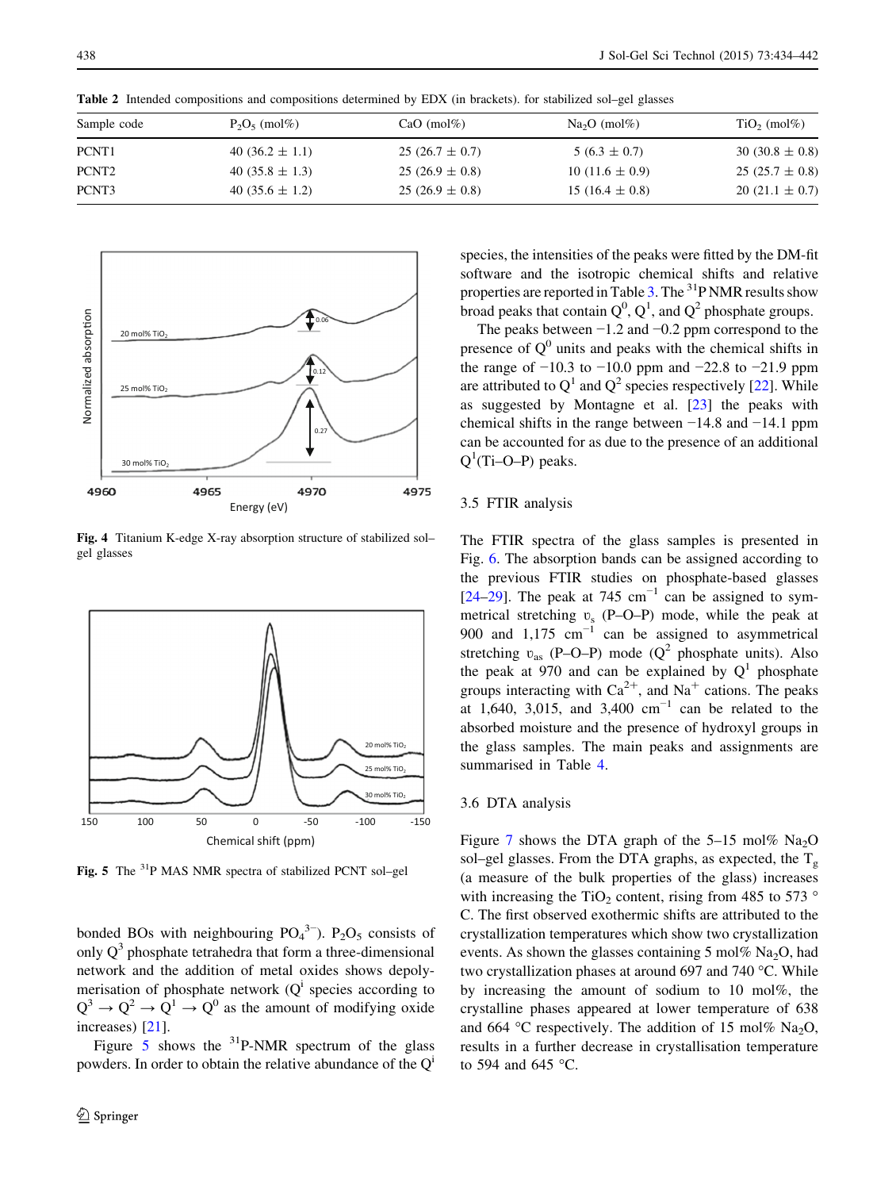| Sample code       | $P_2O_5 \pmod{m}$   | $CaO$ (mol%)       | $Na2O$ (mol%)       | $TiO2$ (mol%)      |
|-------------------|---------------------|--------------------|---------------------|--------------------|
| PCNT1             | $40(36.2 \pm 1.1)$  | $25(26.7 \pm 0.7)$ | $5(6.3 \pm 0.7)$    | $30(30.8 \pm 0.8)$ |
| PCNT <sub>2</sub> | 40 $(35.8 \pm 1.3)$ | $25(26.9 \pm 0.8)$ | 10 (11.6 $\pm$ 0.9) | $25(25.7 \pm 0.8)$ |
| PCNT3             | 40 $(35.6 \pm 1.2)$ | $25(26.9 \pm 0.8)$ | 15 (16.4 $\pm$ 0.8) | $20(21.1 \pm 0.7)$ |

<span id="page-4-0"></span>Table 2 Intended compositions and compositions determined by EDX (in brackets). for stabilized sol–gel glasses



Fig. 4 Titanium K-edge X-ray absorption structure of stabilized sol– gel glasses



Fig. 5 The 31P MAS NMR spectra of stabilized PCNT sol–gel

bonded BOs with neighbouring  $PO_4^{3-}$ ). P<sub>2</sub>O<sub>5</sub> consists of only  $Q<sup>3</sup>$  phosphate tetrahedra that form a three-dimensional network and the addition of metal oxides shows depolymerisation of phosphate network  $(Q<sup>i</sup>$  species according to  $Q^3 \rightarrow Q^2 \rightarrow Q^1 \rightarrow Q^0$  as the amount of modifying oxide increases) [[21\]](#page-7-0).

Figure 5 shows the  $3^{1}P\text{-NMR}$  spectrum of the glass powders. In order to obtain the relative abundance of the  $Q<sup>i</sup>$ 

species, the intensities of the peaks were fitted by the DM-fit software and the isotropic chemical shifts and relative properties are reported in Table [3](#page-5-0). The  $31P NMR$  results show broad peaks that contain  $Q^0$ ,  $Q^1$ , and  $Q^2$  phosphate groups.

The peaks between  $-1.2$  and  $-0.2$  ppm correspond to the presence of  $Q<sup>0</sup>$  units and peaks with the chemical shifts in the range of  $-10.3$  to  $-10.0$  ppm and  $-22.8$  to  $-21.9$  ppm are attributed to  $Q^1$  and  $Q^2$  species respectively [\[22](#page-7-0)]. While as suggested by Montagne et al. [\[23](#page-7-0)] the peaks with chemical shifts in the range between −14.8 and −14.1 ppm can be accounted for as due to the presence of an additional  $Q^1$ (Ti–O–P) peaks.

#### 3.5 FTIR analysis

The FTIR spectra of the glass samples is presented in Fig. [6](#page-5-0). The absorption bands can be assigned according to the previous FTIR studies on phosphate-based glasses [\[24](#page-7-0)[–29](#page-8-0)]. The peak at 745 cm<sup>-1</sup> can be assigned to symmetrical stretching  $v_s$  (P–O–P) mode, while the peak at 900 and 1,175 cm<sup>-1</sup> can be assigned to asymmetrical stretching  $v_{as}$  (P–O–P) mode (Q<sup>2</sup> phosphate units). Also the peak at 970 and can be explained by  $Q<sup>1</sup>$  phosphate groups interacting with  $Ca^{2+}$ , and  $Na^{+}$  cations. The peaks at 1,640, 3,015, and 3,400 cm<sup>-1</sup> can be related to the absorbed moisture and the presence of hydroxyl groups in the glass samples. The main peaks and assignments are summarised in Table [4](#page-5-0).

#### 3.6 DTA analysis

Figure [7](#page-5-0) shows the DTA graph of the  $5-15 \text{ mol\% Na}_2\text{O}$ sol–gel glasses. From the DTA graphs, as expected, the  $T_g$ (a measure of the bulk properties of the glass) increases with increasing the TiO<sub>2</sub> content, rising from 485 to 573  $\degree$ C. The first observed exothermic shifts are attributed to the crystallization temperatures which show two crystallization events. As shown the glasses containing  $5 \text{ mol} \% \text{ Na}_2\text{O}$ , had two crystallization phases at around 697 and 740 °C. While by increasing the amount of sodium to 10 mol%, the crystalline phases appeared at lower temperature of 638 and 664 °C respectively. The addition of 15 mol% Na<sub>2</sub>O, results in a further decrease in crystallisation temperature to 594 and 645 °C.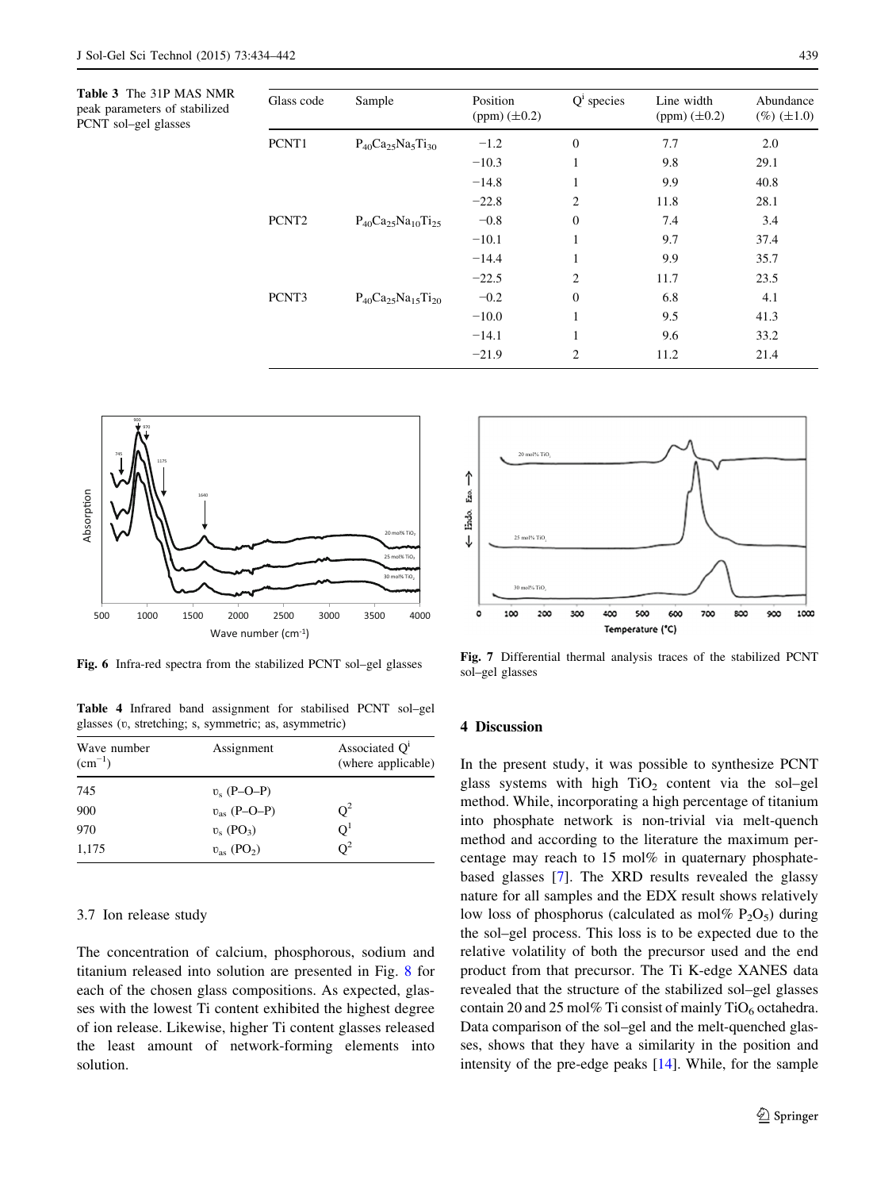<span id="page-5-0"></span>Table 3 The 31P MAS NMR peak parameters of stabilized PCNT sol–gel glasses

| Glass code        | Sample                        | Position<br>$(ppm) (\pm 0.2)$ | $Qi$ species   | Line width<br>(ppm) $(\pm 0.2)$ | Abundance<br>$(\%)(\pm 1.0)$ |
|-------------------|-------------------------------|-------------------------------|----------------|---------------------------------|------------------------------|
| PCNT1             | $P_{40}Ca_{25}Na_{5}Ti_{30}$  | $-1.2$                        | $\mathbf{0}$   | 7.7                             | 2.0                          |
|                   |                               | $-10.3$                       | 1              | 9.8                             | 29.1                         |
|                   |                               | $-14.8$                       | 1              | 9.9                             | 40.8                         |
|                   |                               | $-22.8$                       | 2              | 11.8                            | 28.1                         |
| PCNT <sub>2</sub> | $P_{40}Ca_{25}Na_{10}Ti_{25}$ | $-0.8$                        | $\Omega$       | 7.4                             | 3.4                          |
|                   |                               | $-10.1$                       | 1              | 9.7                             | 37.4                         |
|                   |                               | $-14.4$                       | 1              | 9.9                             | 35.7                         |
|                   |                               | $-22.5$                       | $\overline{2}$ | 11.7                            | 23.5                         |
| PCNT3             | $P_{40}Ca_{25}Na_{15}Ti_{20}$ | $-0.2$                        | $\overline{0}$ | 6.8                             | 4.1                          |
|                   |                               | $-10.0$                       | 1              | 9.5                             | 41.3                         |
|                   |                               | $-14.1$                       | 1              | 9.6                             | 33.2                         |
|                   |                               | $-21.9$                       | $\overline{c}$ | 11.2                            | 21.4                         |



Fig. 6 Infra-red spectra from the stabilized PCNT sol–gel glasses

Table 4 Infrared band assignment for stabilised PCNT sol–gel glasses (ʋ, stretching; s, symmetric; as, asymmetric)

| Wave number<br>$\rm (cm^{-1})$ | Assignment                      | Associated $Q1$<br>(where applicable) |
|--------------------------------|---------------------------------|---------------------------------------|
| 745                            | $v_s$ (P-O-P)                   |                                       |
| 900                            | $v_{\rm as}$ (P-O-P)            | $O^2$                                 |
| 970                            | $v_s$ (PO <sub>3</sub> )        | O,                                    |
| 1,175                          | $v_{\rm as}$ (PO <sub>2</sub> ) | $\Omega^2$                            |

#### 3.7 Ion release study

The concentration of calcium, phosphorous, sodium and titanium released into solution are presented in Fig. [8](#page-6-0) for each of the chosen glass compositions. As expected, glasses with the lowest Ti content exhibited the highest degree of ion release. Likewise, higher Ti content glasses released the least amount of network-forming elements into solution.



Fig. 7 Differential thermal analysis traces of the stabilized PCNT sol–gel glasses

## 4 Discussion

In the present study, it was possible to synthesize PCNT glass systems with high  $TiO<sub>2</sub>$  content via the sol–gel method. While, incorporating a high percentage of titanium into phosphate network is non-trivial via melt-quench method and according to the literature the maximum percentage may reach to 15 mol% in quaternary phosphatebased glasses [\[7](#page-7-0)]. The XRD results revealed the glassy nature for all samples and the EDX result shows relatively low loss of phosphorus (calculated as mol%  $P_2O_5$ ) during the sol–gel process. This loss is to be expected due to the relative volatility of both the precursor used and the end product from that precursor. The Ti K-edge XANES data revealed that the structure of the stabilized sol–gel glasses contain 20 and 25 mol% Ti consist of mainly  $TiO<sub>6</sub>$  octahedra. Data comparison of the sol–gel and the melt-quenched glasses, shows that they have a similarity in the position and intensity of the pre-edge peaks [\[14](#page-7-0)]. While, for the sample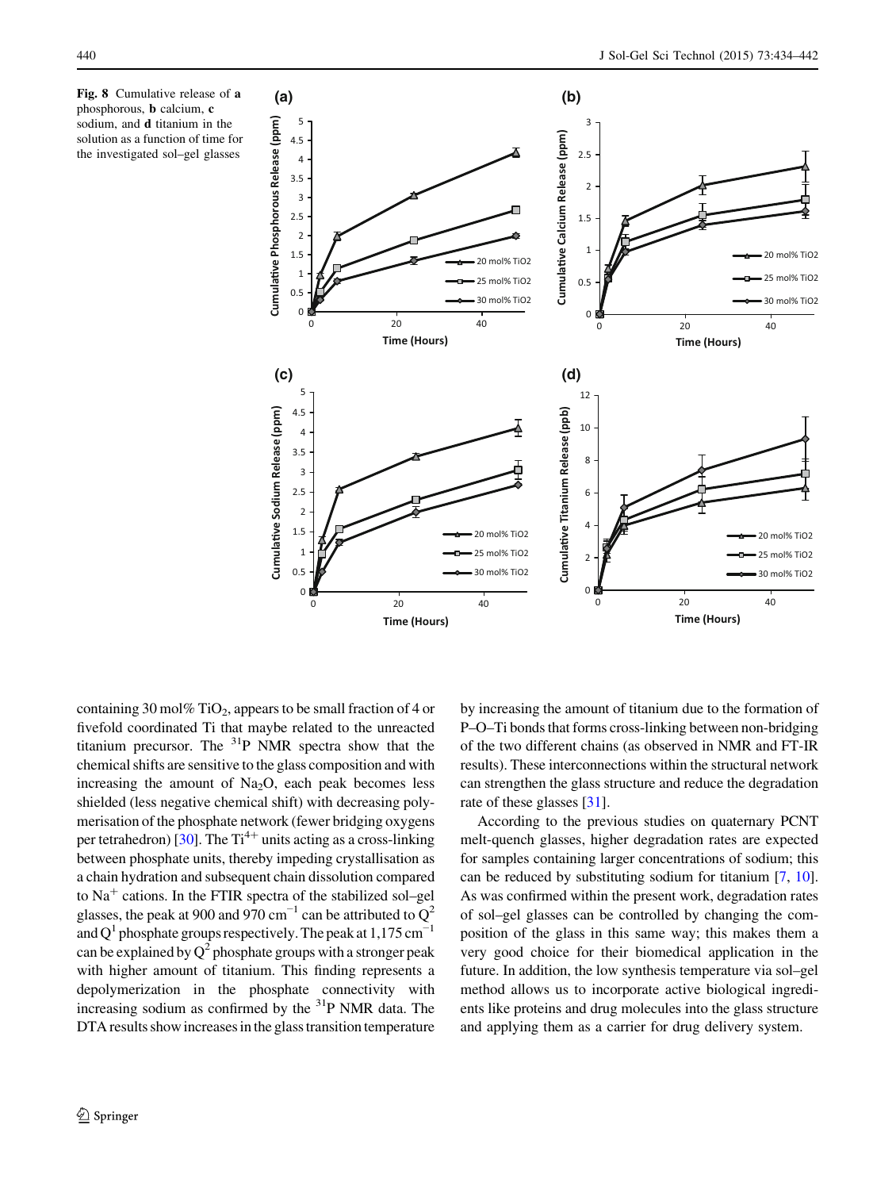<span id="page-6-0"></span>



containing 30 mol% TiO<sub>2</sub>, appears to be small fraction of 4 or fivefold coordinated Ti that maybe related to the unreacted titanium precursor. The 31P NMR spectra show that the chemical shifts are sensitive to the glass composition and with increasing the amount of  $Na<sub>2</sub>O$ , each peak becomes less shielded (less negative chemical shift) with decreasing polymerisation of the phosphate network (fewer bridging oxygens per tetrahedron) [[30\]](#page-8-0). The  $Ti^{4+}$  units acting as a cross-linking between phosphate units, thereby impeding crystallisation as a chain hydration and subsequent chain dissolution compared to  $Na<sup>+</sup>$  cations. In the FTIR spectra of the stabilized sol–gel glasses, the peak at 900 and 970 cm<sup>-1</sup> can be attributed to  $Q^2$ and Q<sup>1</sup> phosphate groups respectively. The peak at 1,175 cm<sup>-1</sup> can be explained by  $Q^2$  phosphate groups with a stronger peak with higher amount of titanium. This finding represents a depolymerization in the phosphate connectivity with increasing sodium as confirmed by the  $31P$  NMR data. The DTA results showincreases in the glass transition temperature

by increasing the amount of titanium due to the formation of P–O–Ti bonds that forms cross-linking between non-bridging of the two different chains (as observed in NMR and FT-IR results). These interconnections within the structural network can strengthen the glass structure and reduce the degradation rate of these glasses [\[31](#page-8-0)].

According to the previous studies on quaternary PCNT melt-quench glasses, higher degradation rates are expected for samples containing larger concentrations of sodium; this can be reduced by substituting sodium for titanium [\[7](#page-7-0), [10\]](#page-7-0). As was confirmed within the present work, degradation rates of sol–gel glasses can be controlled by changing the composition of the glass in this same way; this makes them a very good choice for their biomedical application in the future. In addition, the low synthesis temperature via sol–gel method allows us to incorporate active biological ingredients like proteins and drug molecules into the glass structure and applying them as a carrier for drug delivery system.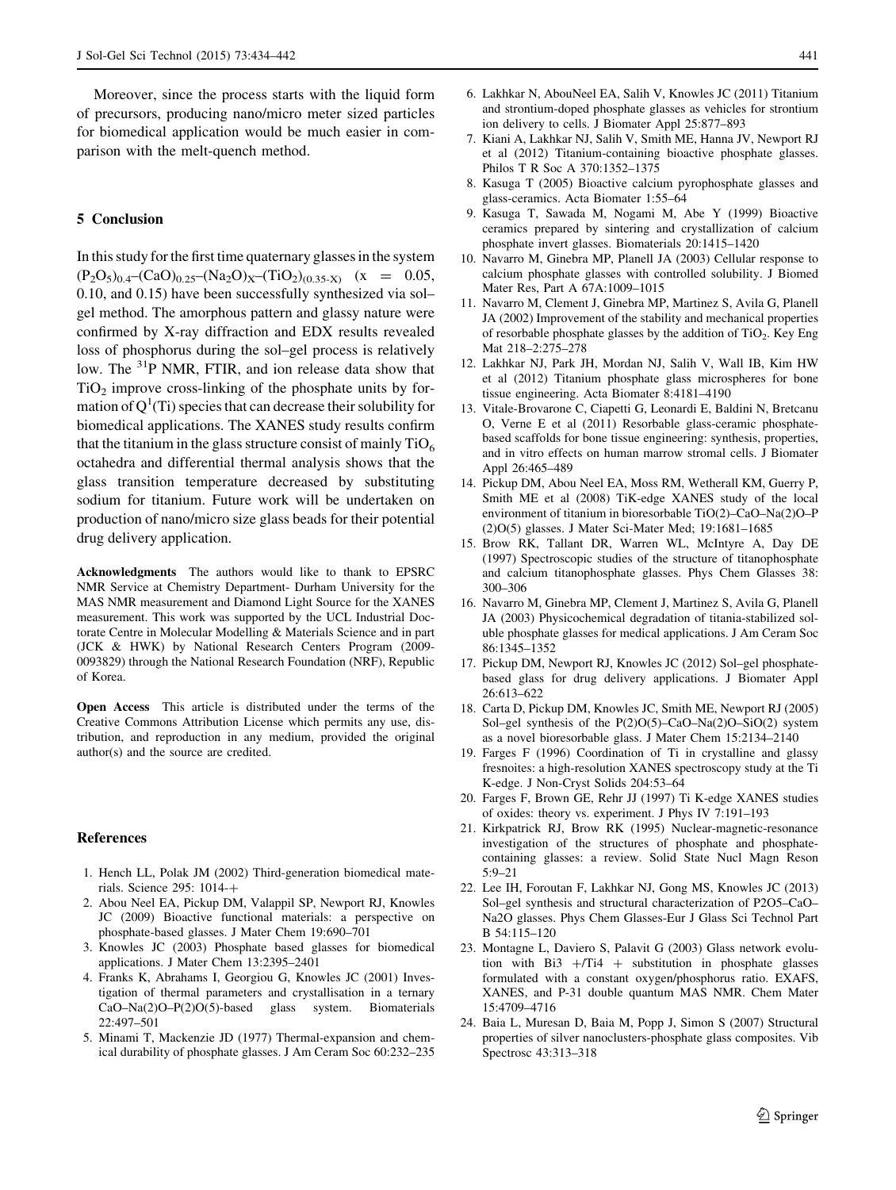<span id="page-7-0"></span>Moreover, since the process starts with the liquid form of precursors, producing nano/micro meter sized particles for biomedical application would be much easier in comparison with the melt-quench method.

## 5 Conclusion

In this study for the first time quaternary glasses in the system  $(P_2O_5)_{0.4}$ – $(CaO)_{0.25}$ – $(Na_2O)_{X}$ – $(TiO_2)_{(0.35-X)}$  (x = 0.05, 0.10, and 0.15) have been successfully synthesized via sol– gel method. The amorphous pattern and glassy nature were confirmed by X-ray diffraction and EDX results revealed loss of phosphorus during the sol–gel process is relatively low. The <sup>31</sup>P NMR, FTIR, and ion release data show that  $TiO<sub>2</sub>$  improve cross-linking of the phosphate units by formation of  $Q^1(Ti)$  species that can decrease their solubility for biomedical applications. The XANES study results confirm that the titanium in the glass structure consist of mainly  $TiO<sub>6</sub>$ octahedra and differential thermal analysis shows that the glass transition temperature decreased by substituting sodium for titanium. Future work will be undertaken on production of nano/micro size glass beads for their potential drug delivery application.

Acknowledgments The authors would like to thank to EPSRC NMR Service at Chemistry Department- Durham University for the MAS NMR measurement and Diamond Light Source for the XANES measurement. This work was supported by the UCL Industrial Doctorate Centre in Molecular Modelling & Materials Science and in part (JCK & HWK) by National Research Centers Program (2009- 0093829) through the National Research Foundation (NRF), Republic of Korea.

Open Access This article is distributed under the terms of the Creative Commons Attribution License which permits any use, distribution, and reproduction in any medium, provided the original author(s) and the source are credited.

## References

- 1. Hench LL, Polak JM (2002) Third-generation biomedical materials. Science 295: 1014-+
- 2. Abou Neel EA, Pickup DM, Valappil SP, Newport RJ, Knowles JC (2009) Bioactive functional materials: a perspective on phosphate-based glasses. J Mater Chem 19:690–701
- 3. Knowles JC (2003) Phosphate based glasses for biomedical applications. J Mater Chem 13:2395–2401
- 4. Franks K, Abrahams I, Georgiou G, Knowles JC (2001) Investigation of thermal parameters and crystallisation in a ternary CaO–Na(2)O–P(2)O(5)-based glass system. Biomaterials 22:497–501
- 5. Minami T, Mackenzie JD (1977) Thermal-expansion and chemical durability of phosphate glasses. J Am Ceram Soc 60:232–235
- 6. Lakhkar N, AbouNeel EA, Salih V, Knowles JC (2011) Titanium and strontium-doped phosphate glasses as vehicles for strontium ion delivery to cells. J Biomater Appl 25:877–893
- 7. Kiani A, Lakhkar NJ, Salih V, Smith ME, Hanna JV, Newport RJ et al (2012) Titanium-containing bioactive phosphate glasses. Philos T R Soc A 370:1352–1375
- 8. Kasuga T (2005) Bioactive calcium pyrophosphate glasses and glass-ceramics. Acta Biomater 1:55–64
- 9. Kasuga T, Sawada M, Nogami M, Abe Y (1999) Bioactive ceramics prepared by sintering and crystallization of calcium phosphate invert glasses. Biomaterials 20:1415–1420
- 10. Navarro M, Ginebra MP, Planell JA (2003) Cellular response to calcium phosphate glasses with controlled solubility. J Biomed Mater Res, Part A 67A:1009–1015
- 11. Navarro M, Clement J, Ginebra MP, Martinez S, Avila G, Planell JA (2002) Improvement of the stability and mechanical properties of resorbable phosphate glasses by the addition of  $TiO<sub>2</sub>$ . Key Eng Mat 218–2:275–278
- 12. Lakhkar NJ, Park JH, Mordan NJ, Salih V, Wall IB, Kim HW et al (2012) Titanium phosphate glass microspheres for bone tissue engineering. Acta Biomater 8:4181–4190
- 13. Vitale-Brovarone C, Ciapetti G, Leonardi E, Baldini N, Bretcanu O, Verne E et al (2011) Resorbable glass-ceramic phosphatebased scaffolds for bone tissue engineering: synthesis, properties, and in vitro effects on human marrow stromal cells. J Biomater Appl 26:465–489
- 14. Pickup DM, Abou Neel EA, Moss RM, Wetherall KM, Guerry P, Smith ME et al (2008) TiK-edge XANES study of the local environment of titanium in bioresorbable TiO(2)–CaO–Na(2)O–P (2)O(5) glasses. J Mater Sci-Mater Med; 19:1681–1685
- 15. Brow RK, Tallant DR, Warren WL, McIntyre A, Day DE (1997) Spectroscopic studies of the structure of titanophosphate and calcium titanophosphate glasses. Phys Chem Glasses 38: 300–306
- 16. Navarro M, Ginebra MP, Clement J, Martinez S, Avila G, Planell JA (2003) Physicochemical degradation of titania-stabilized soluble phosphate glasses for medical applications. J Am Ceram Soc 86:1345–1352
- 17. Pickup DM, Newport RJ, Knowles JC (2012) Sol–gel phosphatebased glass for drug delivery applications. J Biomater Appl 26:613–622
- 18. Carta D, Pickup DM, Knowles JC, Smith ME, Newport RJ (2005) Sol–gel synthesis of the P(2)O(5)–CaO–Na(2)O–SiO(2) system as a novel bioresorbable glass. J Mater Chem 15:2134–2140
- 19. Farges F (1996) Coordination of Ti in crystalline and glassy fresnoites: a high-resolution XANES spectroscopy study at the Ti K-edge. J Non-Cryst Solids 204:53–64
- 20. Farges F, Brown GE, Rehr JJ (1997) Ti K-edge XANES studies of oxides: theory vs. experiment. J Phys IV 7:191–193
- 21. Kirkpatrick RJ, Brow RK (1995) Nuclear-magnetic-resonance investigation of the structures of phosphate and phosphatecontaining glasses: a review. Solid State Nucl Magn Reson 5:9–21
- 22. Lee IH, Foroutan F, Lakhkar NJ, Gong MS, Knowles JC (2013) Sol–gel synthesis and structural characterization of P2O5–CaO– Na2O glasses. Phys Chem Glasses-Eur J Glass Sci Technol Part B 54:115–120
- 23. Montagne L, Daviero S, Palavit G (2003) Glass network evolution with  $Bi3 + Ti4 +$  substitution in phosphate glasses formulated with a constant oxygen/phosphorus ratio. EXAFS, XANES, and P-31 double quantum MAS NMR. Chem Mater 15:4709–4716
- 24. Baia L, Muresan D, Baia M, Popp J, Simon S (2007) Structural properties of silver nanoclusters-phosphate glass composites. Vib Spectrosc 43:313–318